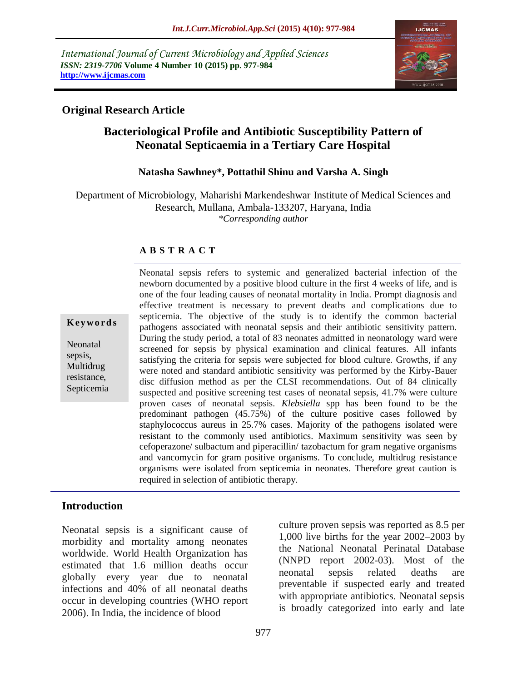*International Journal of Current Microbiology and Applied Sciences ISSN: 2319-7706* **Volume 4 Number 10 (2015) pp. 977-984 http://www.ijcmas.com** 



# **Original Research Article**

# **Bacteriological Profile and Antibiotic Susceptibility Pattern of Neonatal Septicaemia in a Tertiary Care Hospital**

# **Natasha Sawhney\*, Pottathil Shinu and Varsha A. Singh**

Department of Microbiology, Maharishi Markendeshwar Institute of Medical Sciences and Research, Mullana, Ambala-133207, Haryana, India *\*Corresponding author*

# **A B S T R A C T**

**K ey w o rd s**

Neonatal sepsis, Multidrug resistance, Septicemia Neonatal sepsis refers to systemic and generalized bacterial infection of the newborn documented by a positive blood culture in the first 4 weeks of life, and is one of the four leading causes of neonatal mortality in India. Prompt diagnosis and effective treatment is necessary to prevent deaths and complications due to septicemia. The objective of the study is to identify the common bacterial pathogens associated with neonatal sepsis and their antibiotic sensitivity pattern. During the study period, a total of 83 neonates admitted in neonatology ward were screened for sepsis by physical examination and clinical features. All infants satisfying the criteria for sepsis were subjected for blood culture. Growths, if any were noted and standard antibiotic sensitivity was performed by the Kirby-Bauer disc diffusion method as per the CLSI recommendations. Out of 84 clinically suspected and positive screening test cases of neonatal sepsis, 41.7% were culture proven cases of neonatal sepsis. *Klebsiella* spp has been found to be the predominant pathogen (45.75%) of the culture positive cases followed by staphylococcus aureus in 25.7% cases. Majority of the pathogens isolated were resistant to the commonly used antibiotics. Maximum sensitivity was seen by cefoperazone/ sulbactum and piperacillin/ tazobactum for gram negative organisms and vancomycin for gram positive organisms. To conclude, multidrug resistance organisms were isolated from septicemia in neonates. Therefore great caution is required in selection of antibiotic therapy.

# **Introduction**

Neonatal sepsis is a significant cause of morbidity and mortality among neonates worldwide. World Health Organization has estimated that 1.6 million deaths occur globally every year due to neonatal infections and 40% of all neonatal deaths occur in developing countries (WHO report 2006). In India, the incidence of blood

culture proven sepsis was reported as 8.5 per 1,000 live births for the year 2002–2003 by the National Neonatal Perinatal Database (NNPD report 2002-03). Most of the neonatal sepsis related deaths are preventable if suspected early and treated with appropriate antibiotics. Neonatal sepsis is broadly categorized into early and late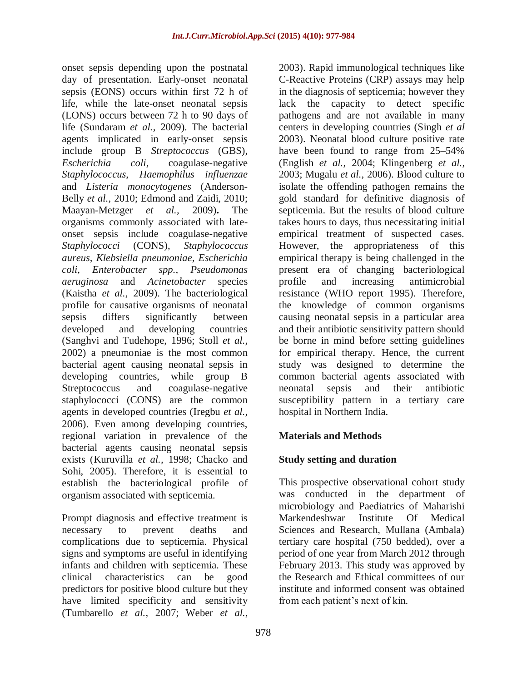onset sepsis depending upon the postnatal day of presentation. Early-onset neonatal sepsis (EONS) occurs within first 72 h of life, while the late-onset neonatal sepsis (LONS) occurs between 72 h to 90 days of life (Sundaram *et al.,* 2009). The bacterial agents implicated in early-onset sepsis include group B *Streptococcus* (GBS), *Escherichia coli*, coagulase-negative *Staphylococcus*, *Haemophilus influenzae* and *Listeria monocytogenes* (Anderson-Belly *et al.,* 2010; Edmond and Zaidi, 2010; Maayan-Metzger *et al.,* 2009)**.** The organisms commonly associated with lateonset sepsis include coagulase-negative *Staphylococci* (CONS), *Staphylococcus aureus, Klebsiella pneumoniae, Escherichia coli, Enterobacter spp., Pseudomonas aeruginosa* and *Acinetobacter* species (Kaistha *et al.,* 2009). The bacteriological profile for causative organisms of neonatal sepsis differs significantly between developed and developing countries (Sanghvi and Tudehope, 1996; Stoll *et al.,* 2002) a pneumoniae is the most common bacterial agent causing neonatal sepsis in developing countries, while group B Streptococcus and coagulase-negative staphylococci (CONS) are the common agents in developed countries (Iregbu *et al.,* 2006). Even among developing countries, regional variation in prevalence of the bacterial agents causing neonatal sepsis exists (Kuruvilla *et al.,* 1998; Chacko and Sohi, 2005). Therefore, it is essential to establish the bacteriological profile of organism associated with septicemia.

Prompt diagnosis and effective treatment is necessary to prevent deaths and complications due to septicemia. Physical signs and symptoms are useful in identifying infants and children with septicemia. These clinical characteristics can be good predictors for positive blood culture but they have limited specificity and sensitivity (Tumbarello *et al.,* 2007; Weber *et al.,*

2003). Rapid immunological techniques like C-Reactive Proteins (CRP) assays may help in the diagnosis of septicemia; however they lack the capacity to detect specific pathogens and are not available in many centers in developing countries (Singh *et al* 2003). Neonatal blood culture positive rate have been found to range from 25–54% (English *et al.,* 2004; Klingenberg *et al.,* 2003; Mugalu *et al.,* 2006). Blood culture to isolate the offending pathogen remains the gold standard for definitive diagnosis of septicemia. But the results of blood culture takes hours to days, thus necessitating initial empirical treatment of suspected cases. However, the appropriateness of this empirical therapy is being challenged in the present era of changing bacteriological profile and increasing antimicrobial resistance (WHO report 1995). Therefore, the knowledge of common organisms causing neonatal sepsis in a particular area and their antibiotic sensitivity pattern should be borne in mind before setting guidelines for empirical therapy. Hence, the current study was designed to determine the common bacterial agents associated with neonatal sepsis and their antibiotic susceptibility pattern in a tertiary care hospital in Northern India.

# **Materials and Methods**

# **Study setting and duration**

This prospective observational cohort study was conducted in the department of microbiology and Paediatrics of Maharishi Markendeshwar Institute Of Medical Sciences and Research, Mullana (Ambala) tertiary care hospital (750 bedded), over a period of one year from March 2012 through February 2013. This study was approved by the Research and Ethical committees of our institute and informed consent was obtained from each patient's next of kin.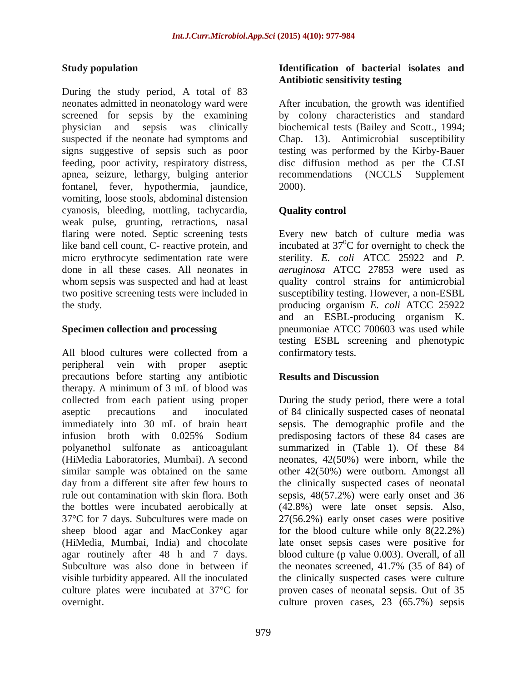# **Study population**

During the study period, A total of 83 neonates admitted in neonatology ward were screened for sepsis by the examining physician and sepsis was clinically suspected if the neonate had symptoms and signs suggestive of sepsis such as poor feeding, poor activity, respiratory distress, apnea, seizure, lethargy, bulging anterior fontanel, fever, hypothermia, jaundice, vomiting, loose stools, abdominal distension cyanosis, bleeding, mottling, tachycardia, weak pulse, grunting, retractions, nasal flaring were noted. Septic screening tests like band cell count, C- reactive protein, and micro erythrocyte sedimentation rate were done in all these cases. All neonates in whom sepsis was suspected and had at least two positive screening tests were included in the study.

### **Specimen collection and processing**

All blood cultures were collected from a peripheral vein with proper aseptic precautions before starting any antibiotic therapy. A minimum of 3 mL of blood was collected from each patient using proper aseptic precautions and inoculated immediately into 30 mL of brain heart infusion broth with 0.025% Sodium polyanethol sulfonate as anticoagulant (HiMedia Laboratories, Mumbai). A second similar sample was obtained on the same day from a different site after few hours to rule out contamination with skin flora. Both the bottles were incubated aerobically at 37°C for 7 days. Subcultures were made on sheep blood agar and MacConkey agar (HiMedia, Mumbai, India) and chocolate agar routinely after 48 h and 7 days. Subculture was also done in between if visible turbidity appeared. All the inoculated culture plates were incubated at 37°C for overnight.

### **Identification of bacterial isolates and Antibiotic sensitivity testing**

After incubation, the growth was identified by colony characteristics and standard biochemical tests (Bailey and Scott., 1994; Chap. 13). Antimicrobial susceptibility testing was performed by the Kirby-Bauer disc diffusion method as per the CLSI recommendations (NCCLS Supplement 2000).

# **Quality control**

Every new batch of culture media was incubated at  $37^{\circ}$ C for overnight to check the sterility. *E. coli* ATCC 25922 and *P. aeruginosa* ATCC 27853 were used as quality control strains for antimicrobial susceptibility testing. However, a non-ESBL producing organism *E. coli* ATCC 25922 and an ESBL-producing organism K. pneumoniae ATCC 700603 was used while testing ESBL screening and phenotypic confirmatory tests.

# **Results and Discussion**

During the study period, there were a total of 84 clinically suspected cases of neonatal sepsis. The demographic profile and the predisposing factors of these 84 cases are summarized in (Table 1). Of these 84 neonates, 42(50%) were inborn, while the other 42(50%) were outborn. Amongst all the clinically suspected cases of neonatal sepsis, 48(57.2%) were early onset and 36 (42.8%) were late onset sepsis. Also, 27(56.2%) early onset cases were positive for the blood culture while only 8(22.2%) late onset sepsis cases were positive for blood culture (p value 0.003). Overall, of all the neonates screened, 41.7% (35 of 84) of the clinically suspected cases were culture proven cases of neonatal sepsis. Out of 35 culture proven cases, 23 (65.7%) sepsis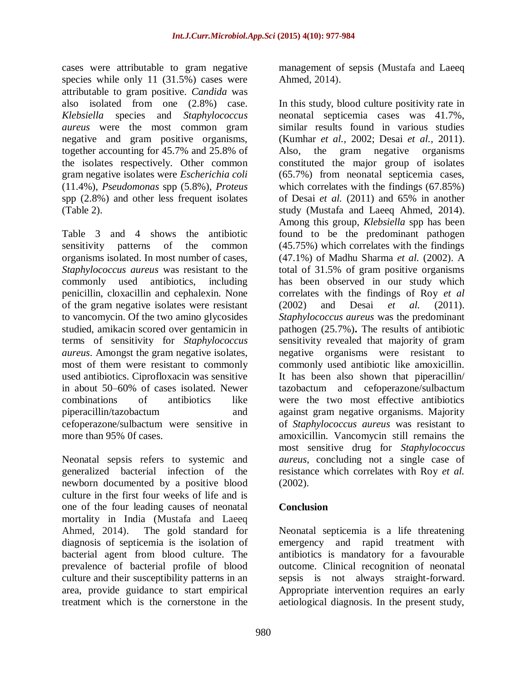cases were attributable to gram negative species while only 11 (31.5%) cases were attributable to gram positive. *Candida* was also isolated from one (2.8%) case. *Klebsiella* species and *Staphylococcus aureus* were the most common gram negative and gram positive organisms, together accounting for 45.7% and 25.8% of the isolates respectively. Other common gram negative isolates were *Escherichia coli*  (11.4%), *Pseudomonas* spp (5.8%), *Proteus*  spp (2.8%) and other less frequent isolates (Table 2).

Table 3 and 4 shows the antibiotic sensitivity patterns of the common organisms isolated. In most number of cases, *Staphylococcus aureus* was resistant to the commonly used antibiotics, including penicillin, cloxacillin and cephalexin. None of the gram negative isolates were resistant to vancomycin. Of the two amino glycosides studied, amikacin scored over gentamicin in terms of sensitivity for *Staphylococcus aureus*. Amongst the gram negative isolates, most of them were resistant to commonly used antibiotics. Ciprofloxacin was sensitive in about 50–60% of cases isolated. Newer combinations of antibiotics like piperacillin/tazobactum and cefoperazone/sulbactum were sensitive in more than 95% 0f cases.

Neonatal sepsis refers to systemic and generalized bacterial infection of the newborn documented by a positive blood culture in the first four weeks of life and is one of the four leading causes of neonatal mortality in India (Mustafa and Laeeq Ahmed, 2014). The gold standard for diagnosis of septicemia is the isolation of bacterial agent from blood culture. The prevalence of bacterial profile of blood culture and their susceptibility patterns in an area, provide guidance to start empirical treatment which is the cornerstone in the

management of sepsis (Mustafa and Laeeq Ahmed, 2014).

In this study, blood culture positivity rate in neonatal septicemia cases was 41.7%, similar results found in various studies (Kumhar *et al.,* 2002; Desai *et al.,* 2011). Also, the gram negative organisms constituted the major group of isolates (65.7%) from neonatal septicemia cases, which correlates with the findings (67.85%) of Desai *et al.* (2011) and 65% in another study (Mustafa and Laeeq Ahmed, 2014). Among this group, *Klebsiella* spp has been found to be the predominant pathogen (45.75%) which correlates with the findings (47.1%) of Madhu Sharma *et al.* (2002). A total of 31.5% of gram positive organisms has been observed in our study which correlates with the findings of Roy *et al* (2002) and Desai *et al.* (2011). *Staphylococcus aureus* was the predominant pathogen (25.7%)**.** The results of antibiotic sensitivity revealed that majority of gram negative organisms were resistant to commonly used antibiotic like amoxicillin. It has been also shown that piperacillin/ tazobactum and cefoperazone/sulbactum were the two most effective antibiotics against gram negative organisms. Majority of *Staphylococcus aureus* was resistant to amoxicillin. Vancomycin still remains the most sensitive drug for *Staphylococcus aureus*, concluding not a single case of resistance which correlates with Roy *et al.*  (2002).

# **Conclusion**

Neonatal septicemia is a life threatening emergency and rapid treatment with antibiotics is mandatory for a favourable outcome. Clinical recognition of neonatal sepsis is not always straight-forward. Appropriate intervention requires an early aetiological diagnosis. In the present study,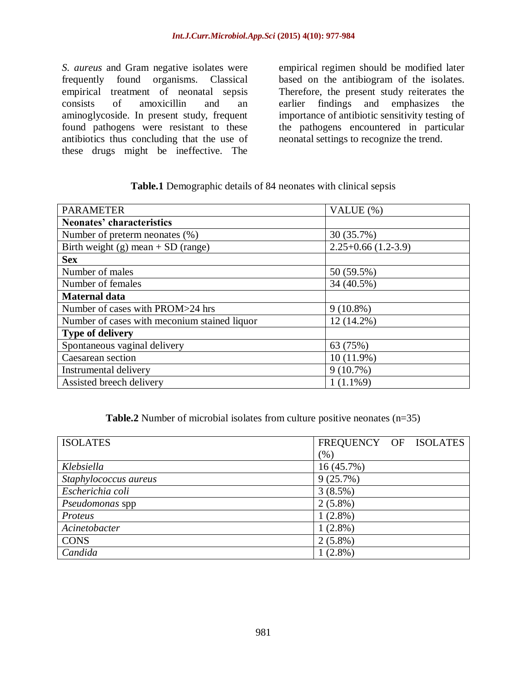*S. aureus* and Gram negative isolates were frequently found organisms. Classical empirical treatment of neonatal sepsis consists of amoxicillin and an aminoglycoside. In present study, frequent found pathogens were resistant to these antibiotics thus concluding that the use of these drugs might be ineffective. The

empirical regimen should be modified later based on the antibiogram of the isolates. Therefore, the present study reiterates the earlier findings and emphasizes the importance of antibiotic sensitivity testing of the pathogens encountered in particular neonatal settings to recognize the trend.

#### **Table.1** Demographic details of 84 neonates with clinical sepsis

| <b>PARAMETER</b>                             | VALUE (%)            |  |  |
|----------------------------------------------|----------------------|--|--|
| Neonates' characteristics                    |                      |  |  |
| Number of preterm neonates (%)               | 30 (35.7%)           |  |  |
| Birth weight (g) mean $+$ SD (range)         | $2.25+0.66(1.2-3.9)$ |  |  |
| <b>Sex</b>                                   |                      |  |  |
| Number of males                              | 50 (59.5%)           |  |  |
| Number of females                            | 34 (40.5%)           |  |  |
| <b>Maternal data</b>                         |                      |  |  |
| Number of cases with PROM>24 hrs             | $9(10.8\%)$          |  |  |
| Number of cases with meconium stained liquor | 12 (14.2%)           |  |  |
| <b>Type of delivery</b>                      |                      |  |  |
| Spontaneous vaginal delivery                 | 63 (75%)             |  |  |
| Caesarean section                            | $10(11.9\%)$         |  |  |
| Instrumental delivery                        | $9(10.7\%)$          |  |  |
| Assisted breech delivery                     | $1(1.1\%9)$          |  |  |

**Table.2** Number of microbial isolates from culture positive neonates (n=35)

| <b>ISOLATES</b>       | FREQUENCY OF ISOLATES |
|-----------------------|-----------------------|
|                       | (% )                  |
| Klebsiella            | $16(45.7\%)$          |
| Staphylococcus aureus | 9(25.7%)              |
| Escherichia coli      | 3(8.5%)               |
| Pseudomonas spp       | $2(5.8\%)$            |
| Proteus               | $1(2.8\%)$            |
| Acinetobacter         | $1(2.8\%)$            |
| <b>CONS</b>           | $2(5.8\%)$            |
| Candida               | $1(2.8\%)$            |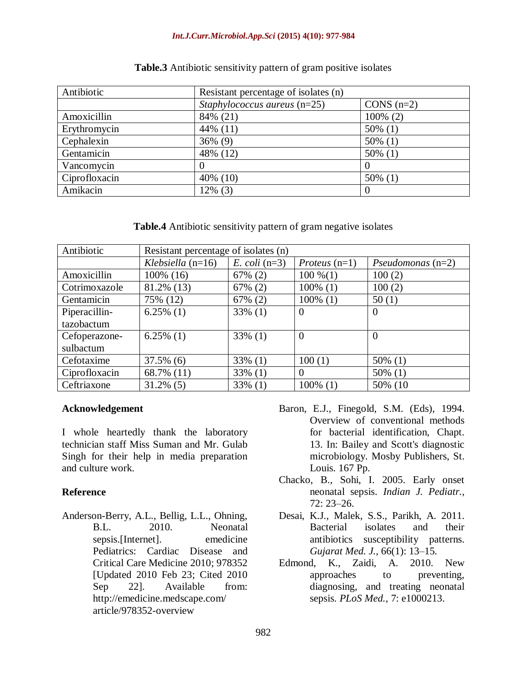#### *Int.J.Curr.Microbiol.App.Sci* **(2015) 4(10): 977-984**

| Antibiotic    | Resistant percentage of isolates (n) |              |  |
|---------------|--------------------------------------|--------------|--|
|               | Staphylococcus aureus $(n=25)$       | CONS $(n=2)$ |  |
| Amoxicillin   | 84% (21)                             | $100\%$ (2)  |  |
| Erythromycin  | 44% (11)                             | $50\%$ (1)   |  |
| Cephalexin    | $36\%$ (9)                           | $50\%$ (1)   |  |
| Gentamicin    | 48% (12)                             | $50\%$ (1)   |  |
| Vancomycin    |                                      |              |  |
| Ciprofloxacin | 40% (10)                             | $50\%$ (1)   |  |
| Amikacin      | $12\%$ (3)                           | 0            |  |

#### **Table.3** Antibiotic sensitivity pattern of gram positive isolates

**Table.4** Antibiotic sensitivity pattern of gram negative isolates

| Antibiotic    | Resistant percentage of isolates (n) |                 |                        |                            |  |
|---------------|--------------------------------------|-----------------|------------------------|----------------------------|--|
|               | Klebsiella $(n=16)$                  | $E.$ coli (n=3) | <i>Proteus</i> $(n=1)$ | <i>Pseudomonas</i> $(n=2)$ |  |
| Amoxicillin   | 100% (16)                            | $67\%$ (2)      | $100\%$ $(1)$          | 100(2)                     |  |
| Cotrimoxazole | 81.2% (13)                           | 67% (2)         | $100\%$ (1)            | 100(2)                     |  |
| Gentamicin    | 75% (12)                             | 67% (2)         | $100\%$ (1)            | 50(1)                      |  |
| Piperacillin- | $6.25\%$ (1)                         | $33\%$ (1)      | $\overline{0}$         | $\theta$                   |  |
| tazobactum    |                                      |                 |                        |                            |  |
| Cefoperazone- | $6.25\%$ (1)                         | $33\%$ (1)      | $\overline{0}$         | $\theta$                   |  |
| sulbactum     |                                      |                 |                        |                            |  |
| Cefotaxime    | $37.5\%$ (6)                         | $33\%$ (1)      | 100(1)                 | $50\%$ (1)                 |  |
| Ciprofloxacin | 68.7% (11)                           | $33\%$ (1)      | $\theta$               | $50\%$ (1)                 |  |
| Ceftriaxone   | $31.2\%$ (5)                         | $33\%$ (1)      | $100\%$ (1)            | 50% (10                    |  |

# **Acknowledgement**

I whole heartedly thank the laboratory technician staff Miss Suman and Mr. Gulab Singh for their help in media preparation and culture work.

# **Reference**

- Anderson-Berry, A.L., Bellig, L.L., Ohning, B.L. 2010. Neonatal sepsis.[Internet]. emedicine Pediatrics: Cardiac Disease and Critical Care Medicine 2010; 978352 [Updated 2010 Feb 23; Cited 2010 Sep 22]. Available from: <http://emedicine.medscape.com/> article/978352-overview
- Baron, E.J., Finegold, S.M. (Eds), 1994. Overview of conventional methods for bacterial identification, Chapt. 13. In: Bailey and Scott's diagnostic microbiology. Mosby Publishers, St. Louis. 167 Pp.
- Chacko, B., Sohi, I. 2005. Early onset neonatal sepsis. *Indian J. Pediatr.,* 72: 23–26.
- Desai, K.J., Malek, S.S., Parikh, A. 2011. Bacterial isolates and their antibiotics susceptibility patterns. *Gujarat Med. J.,* 66(1): 13–15.
- Edmond, K., Zaidi, A. 2010. New approaches to preventing, diagnosing, and treating neonatal sepsis. *PLoS Med.,* 7: e1000213.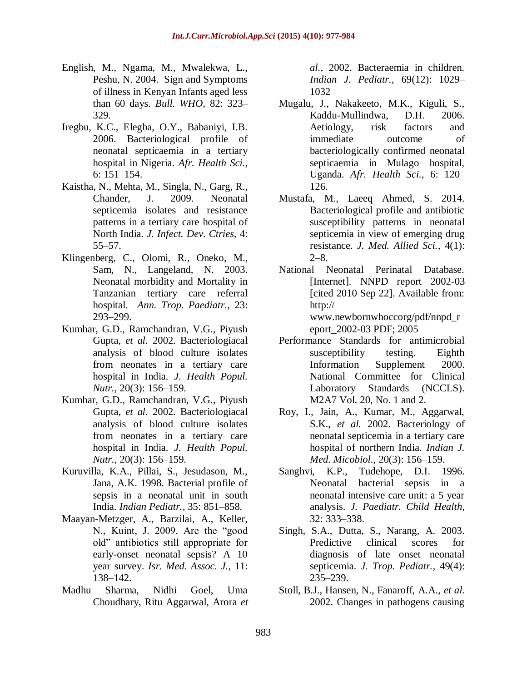- English, M., Ngama, M., Mwalekwa, L., Peshu, N. 2004. Sign and Symptoms of illness in Kenyan Infants aged less than 60 days. *Bull. WHO,* 82: 323– 329.
- Iregbu, K.C., Elegba, O.Y., Babaniyi, I.B. 2006. Bacteriological profile of neonatal septicaemia in a tertiary hospital in Nigeria. *Afr. Health Sci.,* 6: 151–154.
- Kaistha, N., Mehta, M., Singla, N., Garg, R., Chander, J. 2009. Neonatal septicemia isolates and resistance patterns in a tertiary care hospital of North India. *J. Infect. Dev. Ctries,* 4: 55–57.
- Klingenberg, C., Olomi, R., Oneko, M., Sam, N., Langeland, N. 2003. Neonatal morbidity and Mortality in Tanzanian tertiary care referral hospital. *Ann. Trop. Paediatr.,* 23: 293–299.
- Kumhar, G.D., Ramchandran, V.G., Piyush Gupta, *et al.* 2002. Bacteriologiacal analysis of blood culture isolates from neonates in a tertiary care hospital in India. *J. Health Popul. Nutr.,* 20(3): 156–159.
- Kumhar, G.D., Ramchandran, V.G., Piyush Gupta, *et al.* 2002. Bacteriologiacal analysis of blood culture isolates from neonates in a tertiary care hospital in India. *J. Health Popul. Nutr.,* 20(3): 156–159.
- Kuruvilla, K.A., Pillai, S., Jesudason, M., Jana, A.K. 1998. Bacterial profile of sepsis in a neonatal unit in south India. *Indian Pediatr.,* 35: 851–858.
- Maayan-Metzger, A., Barzilai, A., Keller, N., Kuint, J. 2009. Are the "good old" antibiotics still appropriate for early-onset neonatal sepsis? A 10 year survey. *Isr. Med. Assoc. J.,* 11: 138–142.
- Madhu Sharma, Nidhi Goel, Uma Choudhary, Ritu Aggarwal, Arora *et*

*al.,* 2002. Bacteraemia in children. *Indian J. Pediatr.,* 69(12): 1029– 1032

- Mugalu, J., Nakakeeto, M.K., Kiguli, S., Kaddu-Mullindwa, D.H. 2006. Aetiology, risk factors and immediate outcome of bacteriologically confirmed neonatal septicaemia in Mulago hospital, Uganda. *Afr. Health Sci.,* 6: 120– 126.
- Mustafa, M., Laeeq Ahmed, S. 2014. Bacteriological profile and antibiotic susceptibility patterns in neonatal septicemia in view of emerging drug resistance. *J. Med. Allied Sci.,* 4(1):  $2-8$ .
- National Neonatal Perinatal Database. [Internet]. NNPD report 2002-03 [cited 2010 Sep 22]. Available from: http:// www.newbornwhoccorg/pdf/nnpd\_r

eport\_2002-03 PDF; 2005

- Performance Standards for antimicrobial susceptibility testing. Eighth Information Supplement 2000. National Committee for Clinical Laboratory Standards (NCCLS). M2A7 Vol. 20, No. 1 and 2.
- Roy, I., Jain, A., Kumar, M., Aggarwal, S.K., *et al.* 2002. Bacteriology of neonatal septicemia in a tertiary care hospital of northern India. *Indian J. Med. Micobiol.,* 20(3): 156–159.
- Sanghvi, K.P., Tudehope, D.I. 1996. Neonatal bacterial sepsis in a neonatal intensive care unit: a 5 year analysis. *J. Paediatr. Child Health,* 32: 333–338.
- Singh, S.A., Dutta, S., Narang, A. 2003. Predictive clinical scores for diagnosis of late onset neonatal septicemia. *J. Trop. Pediatr.,* 49(4): 235–239.
- Stoll, B.J., Hansen, N., Fanaroff, A.A., *et al.*  2002. Changes in pathogens causing